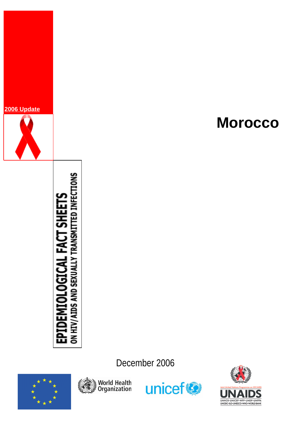

# **DEMIOLOGICAL FACT SHEETS**<br>//AIDS AND SEXUALLY TRANSMITTED INFECTIONS УIН<br>Н 읎 홍

December 2006









# **Morocco**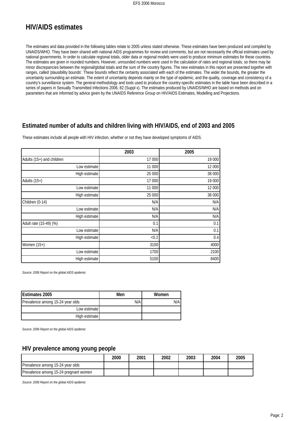# **HIV/AIDS estimates**

The estimates and data provided in the following tables relate to 2005 unless stated otherwise. These estimates have been produced and compiled by UNAIDS/WHO. They have been shared with national AIDS programmes for review and comments, but are not necessarily the official estimates used by national governments. In order to calculate regional totals, older data or regional models were used to produce minimum estimates for these countries. The estimates are given in rounded numbers. However, unrounded numbers were used in the calculation of rates and regional totals, so there may be minor discrepancies between the regional/global totals and the sum of the country figures. The new estimates in this report are presented together with ranges, called 'plausibility bounds'. These bounds reflect the certainty associated with each of the estimates. The wider the bounds, the greater the uncertainty surrounding an estimate. The extent of uncertainty depends mainly on the type of epidemic, and the quality, coverage and consistency of a country's surveillance system. The general methodology and tools used to produce the country-specific estimates in the table have been described in a series of papers in Sexually Transmitted Infections 2006, 82 (Suppl x). The estimates produced by UNAIDS/WHO are based on methods and on parameters that are informed by advice given by the UNAIDS Reference Group on HIV/AIDS Estimates, Modelling and Projections.

### **Estimated number of adults and children living with HIV/AIDS, end of 2003 and 2005**

These estimates include all people with HIV infection, whether or not they have developed symptoms of AIDS.

|                           | 2003   | 2005   |
|---------------------------|--------|--------|
| Adults (15+) and children | 17 000 | 19 000 |
| Low estimate              | 11 000 | 12 000 |
| High estimate             | 25 000 | 38 000 |
| Adults $(15+)$            | 17 000 | 19 000 |
| Low estimate              | 11 000 | 12 000 |
| High estimate             | 25 000 | 38 000 |
| Children (0-14)           | N/A    | N/A    |
| Low estimate              | N/A    | N/A    |
| High estimate             | N/A    | N/A    |
| Adult rate (15-49) (%)    | 0.1    | 0.1    |
| Low estimate              | N/A    | 0.1    |
| High estimate             | < 0.2  | 0.4    |
| Women $(15+)$             | 3100   | 4000   |
| Low estimate              | 1700   | 2100   |
| High estimate             | 5100   | 8400   |

*Source: 2006 Report on the global AIDS epidemic*

| <b>Estimates 2005</b>            | Men | Women |
|----------------------------------|-----|-------|
| Prevalence among 15-24 year olds | N/A | N/Al  |
| Low estimate                     |     |       |
| High estimate                    |     |       |

*Source: 2006 Report on the global AIDS epidemic*

### **HIV prevalence among young people**

|                                       | 2000 | 2001 | 2002 | 2003 | 2004 | 2005 |
|---------------------------------------|------|------|------|------|------|------|
| Prevalence among 15-24 year olds      |      |      |      |      |      |      |
| Prevalence among 15-24 pregnant women |      |      |      |      |      |      |

*Source: 2006 Report on the global AIDS epidemic*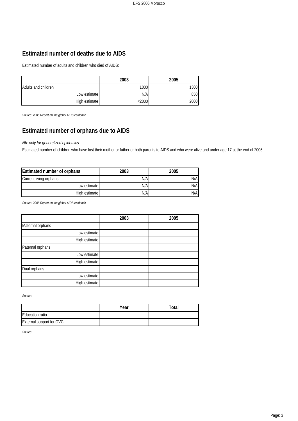# **Estimated number of deaths due to AIDS**

Estimated number of adults and children who died of AIDS:

|                     | 2003              | 2005 |
|---------------------|-------------------|------|
| Adults and children | 1000 <sub>l</sub> | 1300 |
| Low estimate        | N/A               | 850  |
| High estimate       | :2000             | 2000 |

*Source: 2006 Report on the global AIDS epidemic*

# **Estimated number of orphans due to AIDS**

### *Nb: only for generalized epidemics*

Estimated number of children who have lost their mother or father or both parents to AIDS and who were alive and under age 17 at the end of 2005:

| Estimated number of orphans | 2003 | 2005 |
|-----------------------------|------|------|
| Current living orphans      | N/A  | N/A  |
| Low estimate                | N/A  | N/A  |
| High estimate               | N/A  | N/A  |

*Source: 2006 Report on the global AIDS epidemic*

|                  | 2003 | 2005 |
|------------------|------|------|
| Maternal orphans |      |      |
| Low estimate     |      |      |
| High estimate    |      |      |
| Paternal orphans |      |      |
| Low estimate     |      |      |
| High estimate    |      |      |
| Dual orphans     |      |      |
| Low estimate     |      |      |
| High estimate    |      |      |

*Source:*

|                          | Year | Total |
|--------------------------|------|-------|
| Education ratio          |      |       |
| External support for OVC |      |       |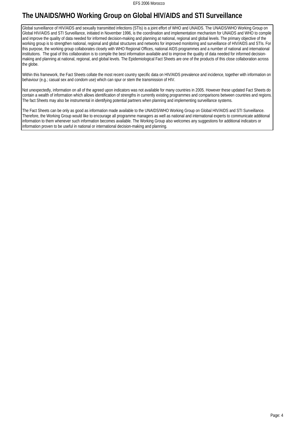# **The UNAIDS/WHO Working Group on Global HIV/AIDS and STI Surveillance**

Global surveillance of HIV/AIDS and sexually transmitted infections (STIs) is a joint effort of WHO and UNAIDS. The UNAIDS/WHO Working Group on Global HIV/AIDS and STI Surveillance, initiated in November 1996, is the coordination and implementation mechanism for UNAIDS and WHO to compile and improve the quality of data needed for informed decision-making and planning at national, regional and global levels. The primary objective of the working group is to strengthen national, regional and global structures and networks for improved monitoring and surveillance of HIV/AIDS and STIs. For this purpose, the working group collaborates closely with WHO Regional Offices, national AIDS programmes and a number of national and international institutions. The goal of this collaboration is to compile the best information available and to improve the quality of data needed for informed decisionmaking and planning at national, regional, and global levels. The Epidemiological Fact Sheets are one of the products of this close collaboration across the globe.

 Within this framework, the Fact Sheets collate the most recent country specific data on HIV/AIDS prevalence and incidence, together with information on behaviour (e.g.; casual sex and condom use) which can spur or stem the transmission of HIV.

Not unexpectedly, information on all of the agreed upon indicators was not available for many countries in 2005. However these updated Fact Sheets do contain a wealth of information which allows identification of strengths in currently existing programmes and comparisons between countries and regions. The fact Sheets may also be instrumental in identifying potential partners when planning and implementing surveillance systems.

The Fact Sheets can be only as good as information made available to the UNAIDS/WHO Working Group on Global HIV/AIDS and STI Surveillance. Therefore, the Working Group would like to encourage all programme managers as well as national and international experts to communicate additional information to them whenever such information becomes available. The Working Group also welcomes any suggestions for additional indicators or information proven to be useful in national or international decision-making and planning.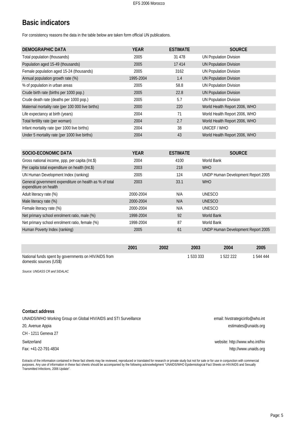# **Basic indicators**

For consistency reasons the data in the table below are taken form official UN publications.

| DEMOGRAPHIC DATA                                  | <b>YEAR</b> | <b>ESTIMATE</b> | <b>SOURCE</b>                 |
|---------------------------------------------------|-------------|-----------------|-------------------------------|
| Total population (thousands)                      | 2005        | 31 4 7 8        | <b>UN Population Division</b> |
| Population aged 15-49 (thousands)                 | 2005        | 17414           | <b>UN Population Division</b> |
| Female population aged 15-24 (thousands)          | 2005        | 3162            | <b>UN Population Division</b> |
| Annual population growth rate (%)                 | 1995-2004   | 1.4             | <b>UN Population Division</b> |
| % of population in urban areas                    | 2005        | 58.8            | <b>UN Population Division</b> |
| Crude birth rate (births per 1000 pop.)           | 2005        | 22.8            | <b>UN Population Division</b> |
| Crude death rate (deaths per 1000 pop.)           | 2005        | 5.7             | <b>UN Population Division</b> |
| Maternal mortality rate (per 100 000 live births) | 2000        | 220             | World Health Report 2006, WHO |
| Life expectancy at birth (years)                  | 2004        | 71              | World Health Report 2006, WHO |
| Total fertility rate (per woman)                  | 2004        | 2.7             | World Health Report 2006, WHO |
| Infant mortality rate (per 1000 live births)      | 2004        | 38              | UNICEF / WHO                  |
| Under 5 mortality rate (per 1000 live births)     | 2004        | 43              | World Health Report 2006, WHO |

| SOCIO-ECONOMIC DATA                                                             | <b>YEAR</b> | <b>ESTIMATE</b> | <b>SOURCE</b>                      |
|---------------------------------------------------------------------------------|-------------|-----------------|------------------------------------|
| Gross national income, ppp, per capita (Int.\$)                                 | 2004        | 4100            | World Bank                         |
| Per capita total expenditure on health (Int.\$)                                 | 2003        | 218             | <b>WHO</b>                         |
| UN Human Development Index (ranking)                                            | 2005        | 124             | UNDP Human Development Report 2005 |
| General government expenditure on health as % of total<br>expenditure on health | 2003        | 33.1            | <b>WHO</b>                         |
| Adult literacy rate (%)                                                         | 2000-2004   | N/A             | UNESCO                             |
| Male literacy rate (%)                                                          | 2000-2004   | N/A             | <b>UNESCO</b>                      |
| Female literacy rate (%)                                                        | 2000-2004   | N/A             | <b>UNESCO</b>                      |
| Net primary school enrolment ratio, male (%)                                    | 1998-2004   | 92              | <b>World Bank</b>                  |
| Net primary school enrolment ratio, female (%)                                  | 1998-2004   | 87              | World Bank                         |
| Human Poverty Index (ranking)                                                   | 2005        | 61              | UNDP Human Development Report 2005 |

|                                                                                 | 2001 | 2002 | 2003      | 2004    | 2005    |
|---------------------------------------------------------------------------------|------|------|-----------|---------|---------|
| National funds spent by governments on HIV/AIDS from<br>domestic sources (US\$) |      |      | 1 533 333 | 522 222 | 544 444 |

*Source: UNGASS CR and SIDALAC*

| Contact address                                                  |                                 |
|------------------------------------------------------------------|---------------------------------|
| UNAIDS/WHO Working Group on Global HIV/AIDS and STI Surveillance | email: hivstrategicinfo@who.int |
| 20, Avenue Appia                                                 | estimates@unaids.org            |
| CH - 1211 Geneva 27                                              |                                 |
| Switzerland                                                      | website: http://www.who.int/hiv |
| Fax: +41-22-791-4834                                             | http://www.unaids.org           |

Extracts of the information contained in these fact sheets may be reviewed, reproduced or translated for research or private study but not for sale or for use in conjunction with commercial purposes. Any use of information in these fact sheets should be accompanied by the following acknowledgment "UNAIDS/WHO Epidemiological Fact Sheets on HIV/AIDS and Sexually Transmitted Infections, 2006 Update".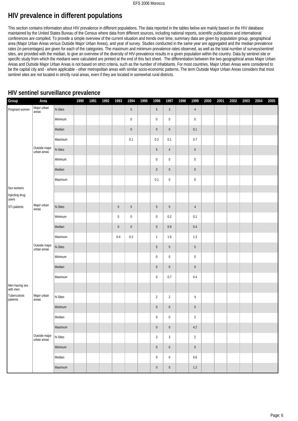# **HIV prevalence in different populations**

This section contains information about HIV prevalence in different populations. The data reported in the tables below are mainly based on the HIV database maintained by the United States Bureau of the Census where data from different sources, including national reports, scientific publications and international conferences are compiled. To provide a simple overview of the current situation and trends over time, summary data are given by population group, geographical area (Major Urban Areas versus Outside Major Urban Areas), and year of survey. Studies conducted in the same year are aggregated and the median prevalence rates (in percentages) are given for each of the categories. The maximum and minimum prevalence rates observed, as well as the total number of surveys/sentinel sites, are provided with the median, to give an overview of the diversity of HIV-prevalence results in a given population within the country. Data by sentinel site or specific study from which the medians were calculated are printed at the end of this fact sheet. The differentiation between the two geographical areas Major Urban Areas and Outside Major Urban Areas is not based on strict criteria, such as the number of inhabitants. For most countries, Major Urban Areas were considered to be the capital city and - where applicable - other metropolitan areas with similar socio-economic patterns. The term Outside Major Urban Areas considers that most sentinel sites are not located in strictly rural areas, even if they are located in somewhat rural districts.

| Group                      | Area                         |         | 1990 | 1991 | 1992 | 1993       | 1994        | 1995 | 1996            | 1997           | 1998 | 1999             | 2000 | 2001 | 2002 | 2003 | 2004 | 2005 |
|----------------------------|------------------------------|---------|------|------|------|------------|-------------|------|-----------------|----------------|------|------------------|------|------|------|------|------|------|
| Pregnant women             | Major urban<br>areas         | N-Sites |      |      |      |            | $5\,$       |      | $5\,$           | $\sqrt{3}$     |      | $\overline{4}$   |      |      |      |      |      |      |
|                            |                              | Minimum |      |      |      |            | $\pmb{0}$   |      | $\pmb{0}$       | $\pmb{0}$      |      | $\boldsymbol{0}$ |      |      |      |      |      |      |
|                            |                              | Median  |      |      |      |            | $\pmb{0}$   |      | $\pmb{0}$       | $\pmb{0}$      |      | $0.1\,$          |      |      |      |      |      |      |
|                            |                              | Maximum |      |      |      |            | 0.1         |      | 0.2             | $0.1\,$        |      | $0.7\,$          |      |      |      |      |      |      |
|                            | Outside major<br>urban areas | N-Sites |      |      |      |            |             |      | $\sqrt{5}$      | $\sqrt{4}$     |      | $\overline{5}$   |      |      |      |      |      |      |
|                            |                              | Minimum |      |      |      |            |             |      | $\pmb{0}$       | $\pmb{0}$      |      | $\pmb{0}$        |      |      |      |      |      |      |
|                            |                              | Median  |      |      |      |            |             |      | $\pmb{0}$       | $\pmb{0}$      |      | $\mathbf 0$      |      |      |      |      |      |      |
|                            |                              | Maximum |      |      |      |            |             |      | 0.1             | $\pmb{0}$      |      | $\pmb{0}$        |      |      |      |      |      |      |
| Sex workers                |                              |         |      |      |      |            |             |      |                 |                |      |                  |      |      |      |      |      |      |
| Injecting drug<br>users    |                              |         |      |      |      |            |             |      |                 |                |      |                  |      |      |      |      |      |      |
| STI patients               | Major urban<br>areas         | N-Sites |      |      |      | $\sqrt{5}$ | $\,$ 5 $\,$ |      | $5\phantom{.0}$ | $5\,$          |      | $\overline{4}$   |      |      |      |      |      |      |
|                            |                              | Minimum |      |      |      | $\pmb{0}$  | $\pmb{0}$   |      | $\bf{0}$        | 0.2            |      | 0.1              |      |      |      |      |      |      |
|                            |                              | Median  |      |      |      | $\pmb{0}$  | $\pmb{0}$   |      | $\pmb{0}$       | 0.9            |      | $0.4\,$          |      |      |      |      |      |      |
|                            |                              | Maximum |      |      |      | 0.4        | $0.2\,$     |      | $\mathbf{1}$    | $1.6\,$        |      | 1.3              |      |      |      |      |      |      |
|                            | Outside major<br>urban areas | N-Sites |      |      |      |            |             |      | $\sqrt{5}$      | 5              |      | 5                |      |      |      |      |      |      |
|                            |                              | Minimum |      |      |      |            |             |      | $\pmb{0}$       | $\pmb{0}$      |      | $\pmb{0}$        |      |      |      |      |      |      |
|                            |                              | Median  |      |      |      |            |             |      | $\pmb{0}$       | $\pmb{0}$      |      | $\pmb{0}$        |      |      |      |      |      |      |
|                            |                              | Maximum |      |      |      |            |             |      | $\bf{0}$        | 0.7            |      | $0.4\,$          |      |      |      |      |      |      |
| Men having sex<br>with men |                              |         |      |      |      |            |             |      |                 |                |      |                  |      |      |      |      |      |      |
| Tuberculosis<br>patients   | Major urban<br>areas         | N-Sites |      |      |      |            |             |      | $\overline{2}$  | $\overline{2}$ |      | $\overline{4}$   |      |      |      |      |      |      |
|                            |                              | Minimum |      |      |      |            |             |      | $\pmb{0}$       | $\pmb{0}$      |      | $\mathbf 0$      |      |      |      |      |      |      |
|                            |                              | Median  |      |      |      |            |             |      | $\pmb{0}$       | 0              |      | $\overline{2}$   |      |      |      |      |      |      |
|                            |                              | Maximum |      |      |      |            |             |      | $\overline{0}$  | $\pmb{0}$      |      | 4.2              |      |      |      |      |      |      |
|                            | Outside major<br>urban areas | N-Sites |      |      |      |            |             |      | $\sqrt{3}$      | $\sqrt{3}$     |      | $\sqrt{2}$       |      |      |      |      |      |      |
|                            |                              | Minimum |      |      |      |            |             |      | $\pmb{0}$       | $\pmb{0}$      |      | $\mathbf 0$      |      |      |      |      |      |      |
|                            |                              | Median  |      |      |      |            |             |      | $\pmb{0}$       | $\pmb{0}$      |      | $0.6\,$          |      |      |      |      |      |      |
|                            |                              | Maximum |      |      |      |            |             |      | $\pmb{0}$       | $\pmb{0}$      |      | $1.2\,$          |      |      |      |      |      |      |

# **HIV sentinel surveillance prevalence**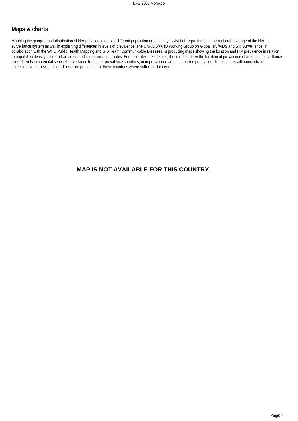### **Maps & charts**

Mapping the geographical distribution of HIV prevalence among different population groups may assist in interpreting both the national coverage of the HIV surveillance system as well in explaining differences in levels of prevalence. The UNAIDS/WHO Working Group on Global HIV/AIDS and STI Surveillance, in collaboration with the WHO Public Health Mapping and GIS Team, Communicable Diseases, is producing maps showing the location and HIV prevalence in relation to population density, major urban areas and communication routes. For generalized epidemics, these maps show the location of prevalence of antenatal surveillance sites. Trends in antenatal sentinel surveillance for higher prevalence countries, or in prevalence among selected populations for countries with concentrated epidemics, are a new addition. These are presented for those countries where sufficient data exist.

# **MAP IS NOT AVAILABLE FOR THIS COUNTRY.**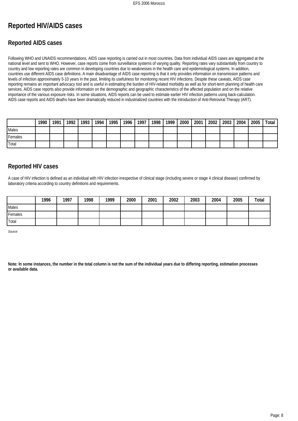# **Reported HIV/AIDS cases**

# **Reported AIDS cases**

Following WHO and UNAIDS recommendations, AIDS case reporting is carried out in most countries. Data from individual AIDS cases are aggregated at the national level and sent to WHO. However, case reports come from surveillance systems of varying quality. Reporting rates vary substantially from country to country and low reporting rates are common in developing countries due to weaknesses in the health care and epidemiological systems. In addition, countries use different AIDS case definitions. A main disadvantage of AIDS case reporting is that it only provides information on transmission patterns and levels of infection approximately 5-10 years in the past, limiting its usefulness for monitoring recent HIV infections. Despite these caveats, AIDS case reporting remains an important advocacy tool and is useful in estimating the burden of HIV-related morbidity as well as for short-term planning of health care services. AIDS case reports also provide information on the demographic and geographic characteristics of the affected population and on the relative importance of the various exposure risks. In some situations, AIDS reports can be used to estimate earlier HIV infection patterns using back-calculation. AIDS case reports and AIDS deaths have been dramatically reduced in industrialized countries with the introduction of Anti-Retroviral Therapy (ART).

|         | 1990 | 1991 | 1992 | 1993 | 1994 | 1995 | 1996 | 1997 <sub>1</sub> | 1998 | 1999 | 2000 | 2001 | 2002 | 2003 | 2004 | 2005 | Total |
|---------|------|------|------|------|------|------|------|-------------------|------|------|------|------|------|------|------|------|-------|
| Males   |      |      |      |      |      |      |      |                   |      |      |      |      |      |      |      |      |       |
| Females |      |      |      |      |      |      |      |                   |      |      |      |      |      |      |      |      |       |
| 'Total  |      |      |      |      |      |      |      |                   |      |      |      |      |      |      |      |      |       |

# **Reported HIV cases**

A case of HIV infection is defined as an individual with HIV infection irrespective of clinical stage (including severe or stage 4 clinical disease) confirmed by laboratory criteria according to country definitions and requirements.

|         | 1996 | 1997 | 1998 | 1999 | 2000 | 2001 | 2002 | 2003 | 2004 | 2005 | Total |
|---------|------|------|------|------|------|------|------|------|------|------|-------|
| Males   |      |      |      |      |      |      |      |      |      |      |       |
| Females |      |      |      |      |      |      |      |      |      |      |       |
| Total   |      |      |      |      |      |      |      |      |      |      |       |

*Source:*

**Note: In some instances, the number in the total column is not the sum of the individual years due to differing reporting, estimation processes or available data.**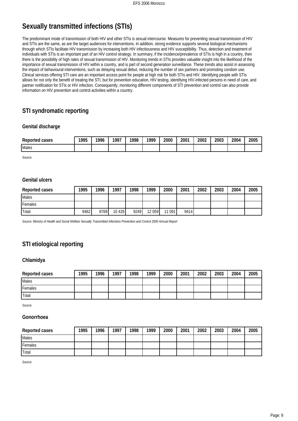# **Sexually transmitted infections (STIs)**

The predominant mode of transmission of both HIV and other STIs is sexual intercourse. Measures for preventing sexual transmission of HIV and STIs are the same, as are the target audiences for interventions. In addition, strong evidence supports several biological mechanisms through which STIs facilitate HIV transmission by increasing both HIV infectiousness and HIV susceptibility. Thus, detection and treatment of individuals with STIs is an important part of an HIV control strategy. In summary, if the incidence/prevalence of STIs is high in a country, then there is the possibility of high rates of sexual transmission of HIV. Monitoring trends in STIs provides valuable insight into the likelihood of the importance of sexual transmission of HIV within a country, and is part of second generation surveillance. These trends also assist in assessing the impact of behavioural interventions, such as delaying sexual debut, reducing the number of sex partners and promoting condom use. Clinical services offering STI care are an important access point for people at high risk for both STIs and HIV. Identifying people with STIs allows for not only the benefit of treating the STI, but for prevention education, HIV testing, identifying HIV-infected persons in need of care, and partner notification for STIs or HIV infection. Consequently, monitoring different components of STI prevention and control can also provide information on HIV prevention and control activities within a country.

# **STI syndromatic reporting**

### **Genital discharge**

| Reported<br>cases | 1995<br>້າບ | 1996 | 1997<br>,, | 1998 | 1990 | 2000 | 2001 | 2002 | 2003 | 2004 | 2005 |
|-------------------|-------------|------|------------|------|------|------|------|------|------|------|------|
| Males             |             |      |            |      |      |      |      |      |      |      |      |

*Source:*

### **Genital ulcers**

| Reported cases  | 1995 | 1996 | 1997    | 1998 | 1999    | 2000   | 2001 | 2002 | 2003 | 2004 | 2005 |
|-----------------|------|------|---------|------|---------|--------|------|------|------|------|------|
| <b>I</b> Males  |      |      |         |      |         |        |      |      |      |      |      |
| <b>IFemales</b> |      |      |         |      |         |        |      |      |      |      |      |
| <b>Total</b>    | 9462 | 8769 | 10 4 26 | 9249 | 12 0 59 | 11 091 | 9414 |      |      |      |      |

*Source: Ministry of Health and Social Welfare Sexually Transmitted Infections Prevention and Control 2000 Annual Report*

# **STI etiological reporting**

### **Chlamidya**

| Reported cases | 1995 | 1996 | 1997 | 1998 | 1999 | 2000 | 2001 | 2002 | 2003 | 2004 | 2005 |
|----------------|------|------|------|------|------|------|------|------|------|------|------|
| Males          |      |      |      |      |      |      |      |      |      |      |      |
| Females        |      |      |      |      |      |      |      |      |      |      |      |
| Total          |      |      |      |      |      |      |      |      |      |      |      |

*Source:*

### **Gonorrhoea**

| Reported cases | 1995 | 1996 | 1997 | 1998 | 1999 | 2000 | 2001 | 2002 | 2003 | 2004 | 2005 |
|----------------|------|------|------|------|------|------|------|------|------|------|------|
| <b>I</b> Males |      |      |      |      |      |      |      |      |      |      |      |
| Females        |      |      |      |      |      |      |      |      |      |      |      |
| <b>Total</b>   |      |      |      |      |      |      |      |      |      |      |      |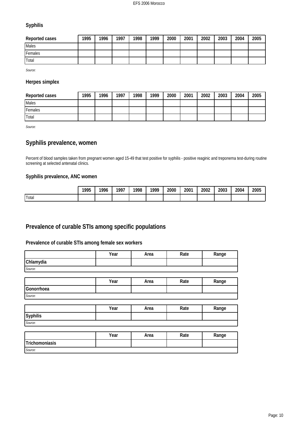### **Syphilis**

| Reported cases | 1995 | 1996 | 1997 | 1998 | 1999 | 2000 | 2001 | 2002 | 2003 | 2004 | 2005 |
|----------------|------|------|------|------|------|------|------|------|------|------|------|
| <b>I</b> Males |      |      |      |      |      |      |      |      |      |      |      |
| Females        |      |      |      |      |      |      |      |      |      |      |      |
| <b>Total</b>   |      |      |      |      |      |      |      |      |      |      |      |

*Source:*

### **Herpes simplex**

| Reported cases | 1995 | 1996 | 1997 | 1998 | 1999 | 2000 | 2001 | 2002 | 2003 | 2004 | 2005 |
|----------------|------|------|------|------|------|------|------|------|------|------|------|
| <b>I</b> Males |      |      |      |      |      |      |      |      |      |      |      |
| Females        |      |      |      |      |      |      |      |      |      |      |      |
| <b>Total</b>   |      |      |      |      |      |      |      |      |      |      |      |

*Source:*

*Source:*

# **Syphilis prevalence, women**

Percent of blood samples taken from pregnant women aged 15-49 that test positive for syphilis - positive reaginic and treponema test-during routine screening at selected antenatal clinics.

### **Syphilis prevalence, ANC women**

|       | 1995<br>ں ر<br>____ | 1996 | 1007 | 1998 | 1000 | 2000<br>__ | 2001 | 2002 | 2003<br>. | 2004 | 2005 |
|-------|---------------------|------|------|------|------|------------|------|------|-----------|------|------|
| Total |                     |      |      |      |      |            |      |      |           |      |      |

# **Prevalence of curable STIs among specific populations**

### **Prevalence of curable STIs among female sex workers**

|                | Year | Area | Rate | Range |
|----------------|------|------|------|-------|
| Chlamydia      |      |      |      |       |
| Source:        |      |      |      |       |
|                |      |      |      |       |
|                | Year | Area | Rate | Range |
| Gonorrhoea     |      |      |      |       |
| Source:        |      |      |      |       |
|                |      |      |      |       |
|                | Year | Area | Rate | Range |
| Syphilis       |      |      |      |       |
| Source:        |      |      |      |       |
|                |      |      |      |       |
|                | Year | Area | Rate | Range |
| Trichomoniasis |      |      |      |       |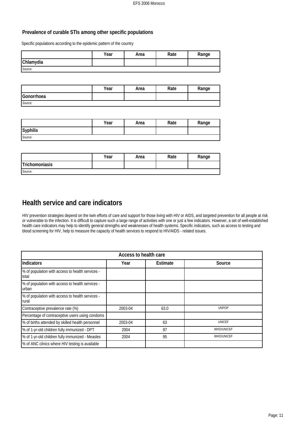### **Prevalence of curable STIs among other specific populations**

Specific populations according to the epidemic pattern of the country

|           | Year | Area | Rate | Range |
|-----------|------|------|------|-------|
| Chlamydia |      |      |      |       |
| Source:   |      |      |      |       |

|            | Year | Area | Rate | Range |
|------------|------|------|------|-------|
| Gonorrhoea |      |      |      |       |
| Source:    |      |      |      |       |

|          | Year | Area | Rate | Range |
|----------|------|------|------|-------|
| Syphilis |      |      |      |       |
| Source:  |      |      |      |       |

|                | Year | Area | Rate | Range |
|----------------|------|------|------|-------|
| Trichomoniasis |      |      |      |       |
| Source:        |      |      |      |       |

# **Health service and care indicators**

HIV prevention strategies depend on the twin efforts of care and support for those living with HIV or AIDS, and targeted prevention for all people at risk or vulnerable to the infection. It is difficult to capture such a large range of activities with one or just a few indicators. However, a set of well-established health care indicators may help to identify general strengths and weaknesses of health systems. Specific indicators, such as access to testing and blood screening for HIV, help to measure the capacity of health services to respond to HIV/AIDS - related issues.

| Access to health care                                     |         |          |                   |  |  |
|-----------------------------------------------------------|---------|----------|-------------------|--|--|
| Indicators                                                | Year    | Estimate | Source            |  |  |
| % of population with access to health services -<br>total |         |          |                   |  |  |
| % of population with access to health services -<br>urban |         |          |                   |  |  |
| % of population with access to health services -<br>rural |         |          |                   |  |  |
| Contraceptive prevalence rate (%)                         | 2003-04 | 63.0     | <b>UNPOP</b>      |  |  |
| Percentage of contraceptive users using condoms           |         |          |                   |  |  |
| % of births attended by skilled health personnel          | 2003-04 | 63       | <b>UNICEF</b>     |  |  |
| % of 1-yr-old children fully immunized - DPT              | 2004    | 97       | <b>WHO/UNICEF</b> |  |  |
| % of 1-yr-old children fully immunized - Measles          | 2004    | 95       | <b>WHO/UNICEF</b> |  |  |
| % of ANC clinics where HIV testing is available           |         |          |                   |  |  |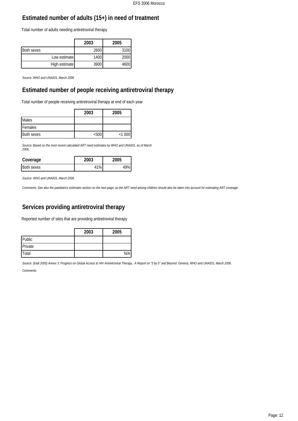# **Estimated number of adults (15+) in need of treatment**

Total number of adults needing antiretroviral therapy

|            |               | 2003 | 2005 |
|------------|---------------|------|------|
| Both sexes |               | 2600 | 3100 |
|            | Low estimate  | 1400 | 2000 |
|            | High estimate | 3900 | 4600 |

*Source: WHO and UNAIDS, March 2006*

# **Estimated number of people receiving antiretroviral therapy**

Total number of people receiving antiretroviral therapy at end of each year

|                   | 2003  | 2005   |
|-------------------|-------|--------|
| <b>Males</b>      |       |        |
| <b>IFemales</b>   |       |        |
| <b>Both sexes</b> | $500$ | < 1000 |

*Source: Based on the most recent calculated ART need estimates by WHO and UNAIDS, as of March 2006.*

| Coverage          | 2003 | 'UU5 |
|-------------------|------|------|
| <b>Both sexes</b> |      |      |

*Source: WHO and UNAIDS, March 2006*

*Comments: See also the paediatrics estimates section on the next page, as the ART need among children should also be taken into account for estimating ART coverage.*

# **Services providing antiretroviral therapy**

Reported number of sites that are providing antiretroviral therapy

|         | 2003 | 2005 |
|---------|------|------|
| Public  |      |      |
| Private |      |      |
| Total   |      | N/Ai |

*Source: (total 2005) Annex 3: Progress on Global Access to HIV Antiretroviral Therapy, A Report on "3 by 5" and Beyond. Geneva, WHO and UNAIDS, March 2006. Comments:*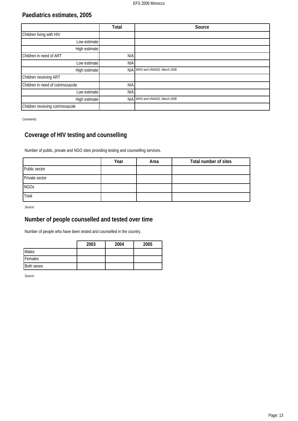# **Paediatrics estimates, 2005**

|                                   | Total | Source                     |
|-----------------------------------|-------|----------------------------|
| Children living with HIV          |       |                            |
| Low estimate                      |       |                            |
| High estimate                     |       |                            |
| Children in need of ART           | N/A   |                            |
| Low estimate                      | N/A   |                            |
| High estimate                     | N/A   | WHO and UNAIDS, March 2006 |
| Children receiving ART            |       |                            |
| Children in need of cotrimoxazole | N/A   |                            |
| Low estimate                      | N/A   |                            |
| High estimate                     | N/A   | WHO and UNAIDS, March 2006 |
| Children receiving cotrimoxazole  |       |                            |

*Comments:*

# **Coverage of HIV testing and counselling**

Number of public, private and NGO sites providing testing and counselling services.

|                | Year | Area | Total number of sites |
|----------------|------|------|-----------------------|
| Public sector  |      |      |                       |
| Private sector |      |      |                       |
| <b>NGOs</b>    |      |      |                       |
| Total          |      |      |                       |

*Source:*

# **Number of people counselled and tested over time**

Number of people who have been tested and counselled in the country.

|              | 2003 | 2004 | 2005 |
|--------------|------|------|------|
| <b>Males</b> |      |      |      |
| Females      |      |      |      |
| Both sexes   |      |      |      |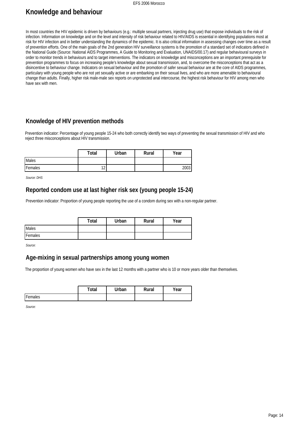### EFS 2006 Morocco

# **Knowledge and behaviour**

In most countries the HIV epidemic is driven by behaviours (e.g.: multiple sexual partners, injecting drug use) that expose individuals to the risk of infection. Information on knowledge and on the level and intensity of risk behaviour related to HIV/AIDS is essential in identifying populations most at risk for HIV infection and in better understanding the dynamics of the epidemic. It is also critical information in assessing changes over time as a result of prevention efforts. One of the main goals of the 2nd generation HIV surveillance systems is the promotion of a standard set of indicators defined in the National Guide (Source: National AIDS Programmes, A Guide to Monitoring and Evaluation, UNAIDS/00.17) and regular behavioural surveys in order to monitor trends in behaviours and to target interventions. The indicators on knowledge and misconceptions are an important prerequisite for prevention programmes to focus on increasing people's knowledge about sexual transmission, and, to overcome the misconceptions that act as a disincentive to behaviour change. Indicators on sexual behaviour and the promotion of safer sexual behaviour are at the core of AIDS programmes, particulary with young people who are not yet sexually active or are embarking on their sexual lives, and who are more amenable to behavioural change than adults. Finally, higher risk male-male sex reports on unprotected anal intercourse, the highest risk behaviour for HIV among men who have sex with men.

# **Knowledge of HIV prevention methods**

Prevention indicator: Percentage of young people 15-24 who both correctly identify two ways of preventing the sexual transmission of HIV and who reject three misconceptions about HIV transmission.

|         | Total            | Urban | Rural | Year |
|---------|------------------|-------|-------|------|
| Males   |                  |       |       |      |
| Females | $\sim$<br>$\sim$ |       |       | 2003 |

*Source: DHS*

### **Reported condom use at last higher risk sex (young people 15-24)**

Prevention indicator: Proportion of young people reporting the use of a condom during sex with a non-regular partner.

|         | Total | Urban | Rural | Year |
|---------|-------|-------|-------|------|
| Males   |       |       |       |      |
| Females |       |       |       |      |

*Source:*

# **Age-mixing in sexual partnerships among young women**

The proportion of young women who have sex in the last 12 months with a partner who is 10 or more years older than themselves.

|         | `otal | `Irban | Rural | 'ear |
|---------|-------|--------|-------|------|
| Females |       |        |       |      |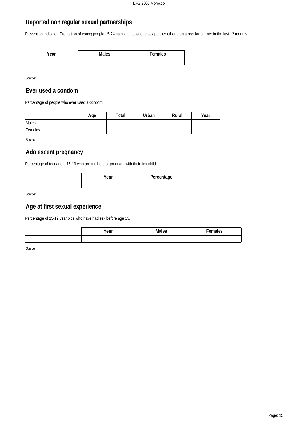# **Reported non regular sexual partnerships**

Prevention indicator: Proportion of young people 15-24 having at least one sex partner other than a regular partner in the last 12 months.

| Vear | Males | Females |
|------|-------|---------|
|      |       |         |

*Source:*

# **Ever used a condom**

Percentage of people who ever used a condom.

|         | Age | Total | Urban | Rural | Year |
|---------|-----|-------|-------|-------|------|
| Males   |     |       |       |       |      |
| Females |     |       |       |       |      |

*Source:*

# **Adolescent pregnancy**

Percentage of teenagers 15-19 who are mothers or pregnant with their first child.

| Year | Percentage |
|------|------------|
|      |            |

*Source:*

# **Age at first sexual experience**

Percentage of 15-19 year olds who have had sex before age 15.

| Year | Males | emales |
|------|-------|--------|
|      |       |        |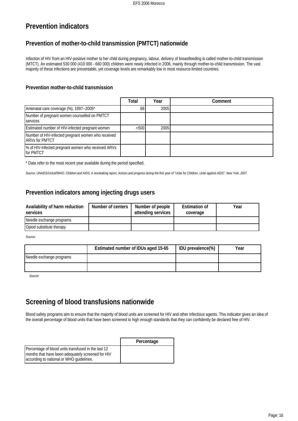# **Prevention indicators**

# **Prevention of mother-to-child transmission (PMTCT) nationwide**

Infection of HIV from an HIV-positive mother to her child during pregnancy, labour, delivery of breastfeeding is called mother-to-child transmission (MTCT). An estimated 530 000 (410 000 - 660 000) children were newly infected in 2006, mainly through mother-to-child transmission. The vast majority of these infections are preventable, yet coverage levels are remarkably low in most resource-limited countries.

### **Prevention mother-to-child transmission**

|                                                                              | Total | Year | Comment |
|------------------------------------------------------------------------------|-------|------|---------|
| Antenatal care coverage (%), 1997--2005*                                     | 68    | 2005 |         |
| Number of pregnant women counselled on PMTCT<br><b>I</b> services            |       |      |         |
| Estimated number of HIV-infected pregnant women                              | < 500 | 2005 |         |
| Number of HIV-infected pregnant women who received<br><b>IARVs for PMTCT</b> |       |      |         |
| │% of HIV-infected pregnant women who received ARVs<br><b>Ifor PMTCT</b>     |       |      |         |

\* Data refer to the most recent year available during the period specified.

*Source: UNAIDS/Unicef/WHO. Children and AIDS; A stocktaking report, Actions and progress during the first year of "Unite for Children, Unite against AIDS". New York, 2007.*

# **Prevention indicators among injecting drugs users**

| Availability of harm reduction<br>services | Number of centers | Number of people<br>attending services | <b>Estimation of</b><br>coverage | Year |
|--------------------------------------------|-------------------|----------------------------------------|----------------------------------|------|
| Needle exchange programs                   |                   |                                        |                                  |      |
| Opiod substitute therapy                   |                   |                                        |                                  |      |

*Source:*

|                          | Estimated number of IDUs aged 15-65 | IDU prevalence(%) | Year |
|--------------------------|-------------------------------------|-------------------|------|
| Needle exchange programs |                                     |                   |      |
|                          |                                     |                   |      |

*Source:*

# **Screening of blood transfusions nationwide**

Blood safety programs aim to ensure that the majority of blood units are screened for HIV and other infectious agents. This indicator gives an idea of the overall percentage of blood units that have been screened to high enough standards that they can confidently be declared free of HIV.

|                                                                                                                                                        | Percentage |
|--------------------------------------------------------------------------------------------------------------------------------------------------------|------------|
| Percentage of blood units transfused in the last 12<br>I months that have been adequately screened for HIV<br>according to national or WHO guidelines. |            |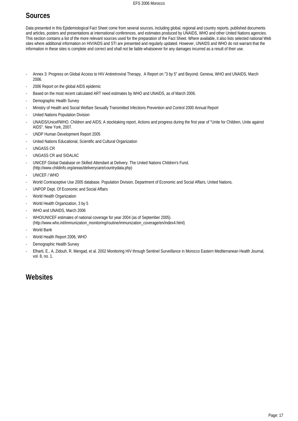# **Sources**

Data presented in this Epidemiological Fact Sheet come from several sources, including global, regional and country reports, published documents and articles, posters and presentations at international conferences, and estimates produced by UNAIDS, WHO and other United Nations agencies. This section contains a list of the more relevant sources used for the preparation of the Fact Sheet. Where available, it also lists selected national Web sites where additional information on HIV/AIDS and STI are presented and regularly updated. However, UNAIDS and WHO do not warrant that the information in these sites is complete and correct and shall not be liable whatsoever for any damages incurred as a result of their use.

- Annex 3: Progress on Global Access to HIV Antiretroviral Therapy, A Report on "3 by 5" and Beyond. Geneva, WHO and UNAIDS, March 2006.
- 2006 Report on the global AIDS epidemic
- Based on the most recent calculated ART need estimates by WHO and UNAIDS, as of March 2006.
- Demographic Health Survey
- Ministry of Health and Social Welfare Sexually Transmitted Infections Prevention and Control 2000 Annual Report
- United Nations Population Division
- UNAIDS/Unicef/WHO. Children and AIDS; A stocktaking report, Actions and progress during the first year of "Unite for Children, Unite against AIDS". New York, 2007.
- UNDP Human Development Report 2005
- United Nations Educational, Scientific and Cultural Organization
- UNGASS CR
- UNGASS CR and SIDALAC
- UNICEF Global Database on Skilled Attendant at Delivery. The United Nations Children's Fund. (http://www.childinfo.org/areas/deliverycare/countrydata.php)
- UNICEF / WHO
- World Contraceptive Use 2005 database. Population Division, Department of Economic and Social Affairs, United Nations.
- UNPOP Dept. Of Economic and Social Affairs
- World Health Organization
- World Health Organization, 3 by 5
- WHO and UNAIDS, March 2006
- WHO/UNICEF estimates of national coverage for year 2004 (as of September 2005). (http://www.who.int/immunization\_monitoring/routine/immunization\_coverage/en/index4.html)
- World Bank
- World Health Report 2006, WHO
- Demographic Health Survey
- Elharti, E., A. Zidouh, R. Mengad, et al. 2002 Monitoring HIV through Sentinel Surveillance in Morocco Eastern Mediterranean Health Journal, vol. 8, no. 1.

# **Websites**